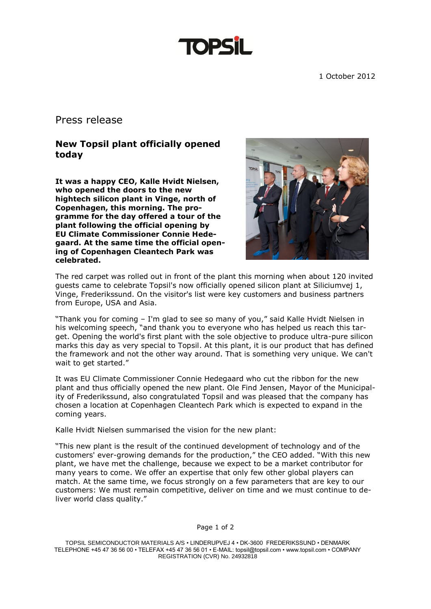1 October 2012

## Press release

## **New Topsil plant officially opened today**

**It was a happy CEO, Kalle Hvidt Nielsen, who opened the doors to the new hightech silicon plant in Vinge, north of Copenhagen, this morning. The programme for the day offered a tour of the plant following the official opening by EU Climate Commissioner Connie Hedegaard. At the same time the official opening of Copenhagen Cleantech Park was celebrated.** 



The red carpet was rolled out in front of the plant this morning when about 120 invited guests came to celebrate Topsil's now officially opened silicon plant at Siliciumvej 1, Vinge, Frederikssund. On the visitor's list were key customers and business partners from Europe, USA and Asia.

"Thank you for coming – I'm glad to see so many of you," said Kalle Hvidt Nielsen in his welcoming speech, "and thank you to everyone who has helped us reach this target. Opening the world's first plant with the sole objective to produce ultra-pure silicon marks this day as very special to Topsil. At this plant, it is our product that has defined the framework and not the other way around. That is something very unique. We can't wait to get started."

It was EU Climate Commissioner Connie Hedegaard who cut the ribbon for the new plant and thus officially opened the new plant. Ole Find Jensen, Mayor of the Municipality of Frederikssund, also congratulated Topsil and was pleased that the company has chosen a location at Copenhagen Cleantech Park which is expected to expand in the coming years.

Kalle Hvidt Nielsen summarised the vision for the new plant:

"This new plant is the result of the continued development of technology and of the customers' ever-growing demands for the production," the CEO added. "With this new plant, we have met the challenge, because we expect to be a market contributor for many years to come. We offer an expertise that only few other global players can match. At the same time, we focus strongly on a few parameters that are key to our customers: We must remain competitive, deliver on time and we must continue to deliver world class quality."

TOPSIL SEMICONDUCTOR MATERIALS A/S • LINDERUPVEJ 4 • DK-3600 FREDERIKSSUND • DENMARK TELEPHONE +45 47 36 56 00 • TELEFAX +45 47 36 56 01 • E-MAIL: topsil@topsil.com • www.topsil.com • COMPANY REGISTRATION (CVR) No. 24932818